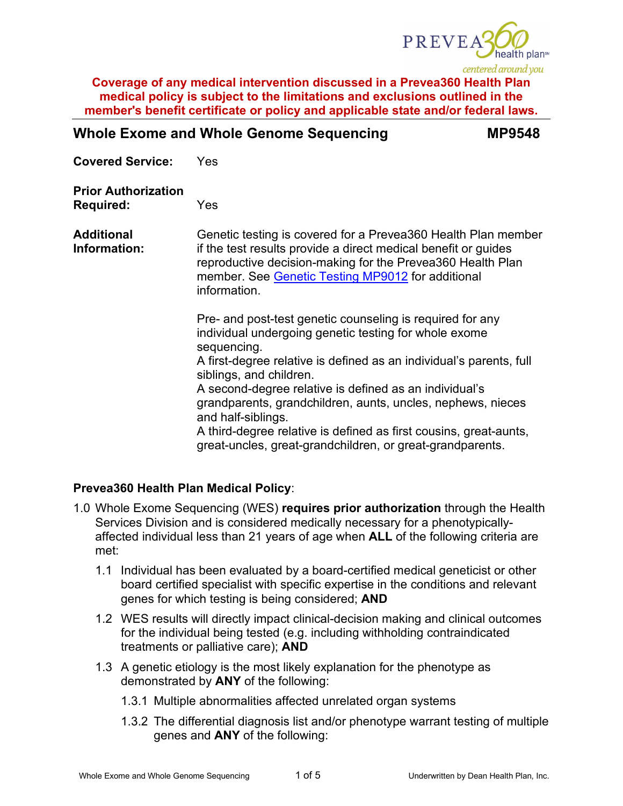

# **Whole Exome and Whole Genome Sequencing MP9548**

**Covered Service:** Yes

**Prior Authorization Required:** Yes

**Additional Information:** Genetic testing is covered for a Prevea360 Health Plan member if the test results provide a direct medical benefit or guides reproductive decision-making for the Prevea360 Health Plan member. See [Genetic Testing MP9012](https://www.prevea360.com/DocumentLibrary/PDF/Medical-Policies/Genetic-Testing-9012) for additional information.

> Pre- and post-test genetic counseling is required for any individual undergoing genetic testing for whole exome sequencing.

A first-degree relative is defined as an individual's parents, full siblings, and children.

A second-degree relative is defined as an individual's grandparents, grandchildren, aunts, uncles, nephews, nieces and half-siblings.

A third-degree relative is defined as first cousins, great-aunts, great-uncles, great-grandchildren, or great-grandparents.

## **Prevea360 Health Plan Medical Policy**:

- 1.0 Whole Exome Sequencing (WES) **requires prior authorization** through the Health Services Division and is considered medically necessary for a phenotypicallyaffected individual less than 21 years of age when **ALL** of the following criteria are met:
	- 1.1 Individual has been evaluated by a board-certified medical geneticist or other board certified specialist with specific expertise in the conditions and relevant genes for which testing is being considered; **AND**
	- 1.2 WES results will directly impact clinical-decision making and clinical outcomes for the individual being tested (e.g. including withholding contraindicated treatments or palliative care); **AND**
	- 1.3 A genetic etiology is the most likely explanation for the phenotype as demonstrated by **ANY** of the following:
		- 1.3.1 Multiple abnormalities affected unrelated organ systems
		- 1.3.2 The differential diagnosis list and/or phenotype warrant testing of multiple genes and **ANY** of the following: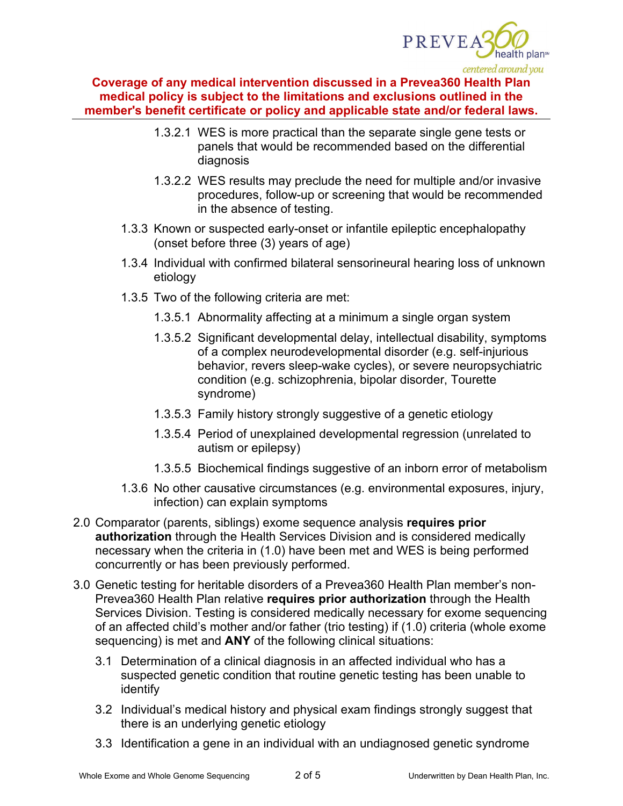

- 1.3.2.1 WES is more practical than the separate single gene tests or panels that would be recommended based on the differential diagnosis
- 1.3.2.2 WES results may preclude the need for multiple and/or invasive procedures, follow-up or screening that would be recommended in the absence of testing.
- 1.3.3 Known or suspected early-onset or infantile epileptic encephalopathy (onset before three (3) years of age)
- 1.3.4 Individual with confirmed bilateral sensorineural hearing loss of unknown etiology
- 1.3.5 Two of the following criteria are met:
	- 1.3.5.1 Abnormality affecting at a minimum a single organ system
	- 1.3.5.2 Significant developmental delay, intellectual disability, symptoms of a complex neurodevelopmental disorder (e.g. self-injurious behavior, revers sleep-wake cycles), or severe neuropsychiatric condition (e.g. schizophrenia, bipolar disorder, Tourette syndrome)
	- 1.3.5.3 Family history strongly suggestive of a genetic etiology
	- 1.3.5.4 Period of unexplained developmental regression (unrelated to autism or epilepsy)
	- 1.3.5.5 Biochemical findings suggestive of an inborn error of metabolism
- 1.3.6 No other causative circumstances (e.g. environmental exposures, injury, infection) can explain symptoms
- 2.0 Comparator (parents, siblings) exome sequence analysis **requires prior authorization** through the Health Services Division and is considered medically necessary when the criteria in (1.0) have been met and WES is being performed concurrently or has been previously performed.
- 3.0 Genetic testing for heritable disorders of a Prevea360 Health Plan member's non-Prevea360 Health Plan relative **requires prior authorization** through the Health Services Division. Testing is considered medically necessary for exome sequencing of an affected child's mother and/or father (trio testing) if (1.0) criteria (whole exome sequencing) is met and **ANY** of the following clinical situations:
	- 3.1 Determination of a clinical diagnosis in an affected individual who has a suspected genetic condition that routine genetic testing has been unable to identify
	- 3.2 Individual's medical history and physical exam findings strongly suggest that there is an underlying genetic etiology
	- 3.3 Identification a gene in an individual with an undiagnosed genetic syndrome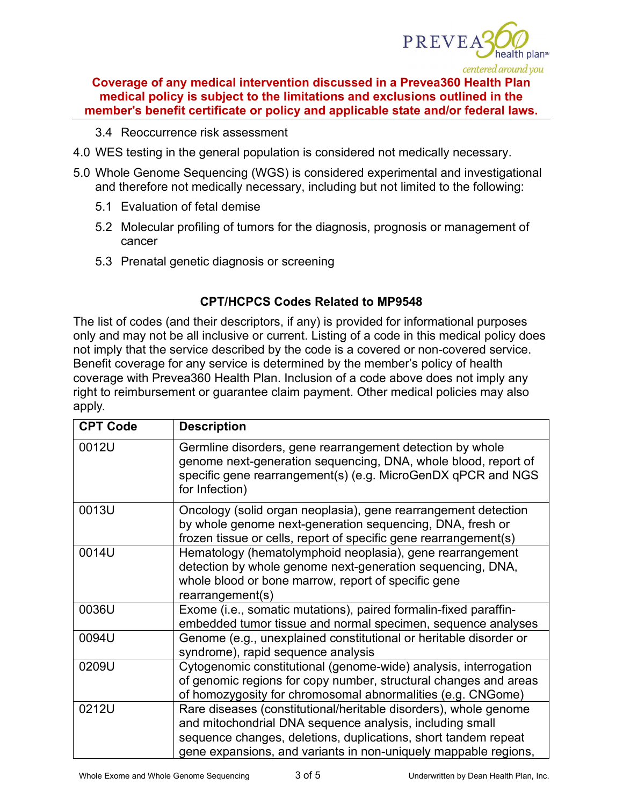

- 3.4 Reoccurrence risk assessment
- 4.0 WES testing in the general population is considered not medically necessary.
- 5.0 Whole Genome Sequencing (WGS) is considered experimental and investigational and therefore not medically necessary, including but not limited to the following:
	- 5.1 Evaluation of fetal demise
	- 5.2 Molecular profiling of tumors for the diagnosis, prognosis or management of cancer
	- 5.3 Prenatal genetic diagnosis or screening

### **CPT/HCPCS Codes Related to MP9548**

The list of codes (and their descriptors, if any) is provided for informational purposes only and may not be all inclusive or current. Listing of a code in this medical policy does not imply that the service described by the code is a covered or non-covered service. Benefit coverage for any service is determined by the member's policy of health coverage with Prevea360 Health Plan. Inclusion of a code above does not imply any right to reimbursement or guarantee claim payment. Other medical policies may also apply*.*

| <b>CPT Code</b> | <b>Description</b>                                                                                                                                                                                                                                                |  |  |  |
|-----------------|-------------------------------------------------------------------------------------------------------------------------------------------------------------------------------------------------------------------------------------------------------------------|--|--|--|
| 0012U           | Germline disorders, gene rearrangement detection by whole<br>genome next-generation sequencing, DNA, whole blood, report of<br>specific gene rearrangement(s) (e.g. MicroGenDX qPCR and NGS<br>for Infection)                                                     |  |  |  |
| 0013U           | Oncology (solid organ neoplasia), gene rearrangement detection<br>by whole genome next-generation sequencing, DNA, fresh or<br>frozen tissue or cells, report of specific gene rearrangement(s)                                                                   |  |  |  |
| 0014U           | Hematology (hematolymphoid neoplasia), gene rearrangement<br>detection by whole genome next-generation sequencing, DNA,<br>whole blood or bone marrow, report of specific gene<br>rearrangement(s)                                                                |  |  |  |
| 0036U           | Exome (i.e., somatic mutations), paired formalin-fixed paraffin-<br>embedded tumor tissue and normal specimen, sequence analyses                                                                                                                                  |  |  |  |
| 0094U           | Genome (e.g., unexplained constitutional or heritable disorder or<br>syndrome), rapid sequence analysis                                                                                                                                                           |  |  |  |
| 0209U           | Cytogenomic constitutional (genome-wide) analysis, interrogation<br>of genomic regions for copy number, structural changes and areas<br>of homozygosity for chromosomal abnormalities (e.g. CNGome)                                                               |  |  |  |
| 0212U           | Rare diseases (constitutional/heritable disorders), whole genome<br>and mitochondrial DNA sequence analysis, including small<br>sequence changes, deletions, duplications, short tandem repeat<br>gene expansions, and variants in non-uniquely mappable regions, |  |  |  |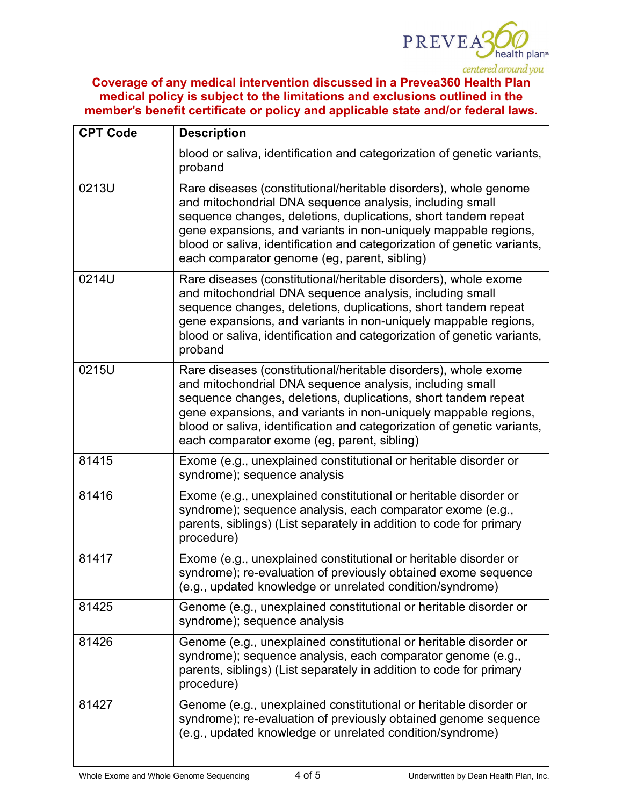

| <b>CPT Code</b> | <b>Description</b>                                                                                                                                                                                                                                                                                                                                                                           |  |  |  |  |
|-----------------|----------------------------------------------------------------------------------------------------------------------------------------------------------------------------------------------------------------------------------------------------------------------------------------------------------------------------------------------------------------------------------------------|--|--|--|--|
|                 | blood or saliva, identification and categorization of genetic variants,<br>proband                                                                                                                                                                                                                                                                                                           |  |  |  |  |
| 0213U           | Rare diseases (constitutional/heritable disorders), whole genome<br>and mitochondrial DNA sequence analysis, including small<br>sequence changes, deletions, duplications, short tandem repeat<br>gene expansions, and variants in non-uniquely mappable regions,<br>blood or saliva, identification and categorization of genetic variants,<br>each comparator genome (eg, parent, sibling) |  |  |  |  |
| 0214U           | Rare diseases (constitutional/heritable disorders), whole exome<br>and mitochondrial DNA sequence analysis, including small<br>sequence changes, deletions, duplications, short tandem repeat<br>gene expansions, and variants in non-uniquely mappable regions,<br>blood or saliva, identification and categorization of genetic variants,<br>proband                                       |  |  |  |  |
| 0215U           | Rare diseases (constitutional/heritable disorders), whole exome<br>and mitochondrial DNA sequence analysis, including small<br>sequence changes, deletions, duplications, short tandem repeat<br>gene expansions, and variants in non-uniquely mappable regions,<br>blood or saliva, identification and categorization of genetic variants,<br>each comparator exome (eg, parent, sibling)   |  |  |  |  |
| 81415           | Exome (e.g., unexplained constitutional or heritable disorder or<br>syndrome); sequence analysis                                                                                                                                                                                                                                                                                             |  |  |  |  |
| 81416           | Exome (e.g., unexplained constitutional or heritable disorder or<br>syndrome); sequence analysis, each comparator exome (e.g.,<br>parents, siblings) (List separately in addition to code for primary<br>procedure)                                                                                                                                                                          |  |  |  |  |
| 81417           | Exome (e.g., unexplained constitutional or heritable disorder or<br>syndrome); re-evaluation of previously obtained exome sequence<br>(e.g., updated knowledge or unrelated condition/syndrome)                                                                                                                                                                                              |  |  |  |  |
| 81425           | Genome (e.g., unexplained constitutional or heritable disorder or<br>syndrome); sequence analysis                                                                                                                                                                                                                                                                                            |  |  |  |  |
| 81426           | Genome (e.g., unexplained constitutional or heritable disorder or<br>syndrome); sequence analysis, each comparator genome (e.g.,<br>parents, siblings) (List separately in addition to code for primary<br>procedure)                                                                                                                                                                        |  |  |  |  |
| 81427           | Genome (e.g., unexplained constitutional or heritable disorder or<br>syndrome); re-evaluation of previously obtained genome sequence<br>(e.g., updated knowledge or unrelated condition/syndrome)                                                                                                                                                                                            |  |  |  |  |